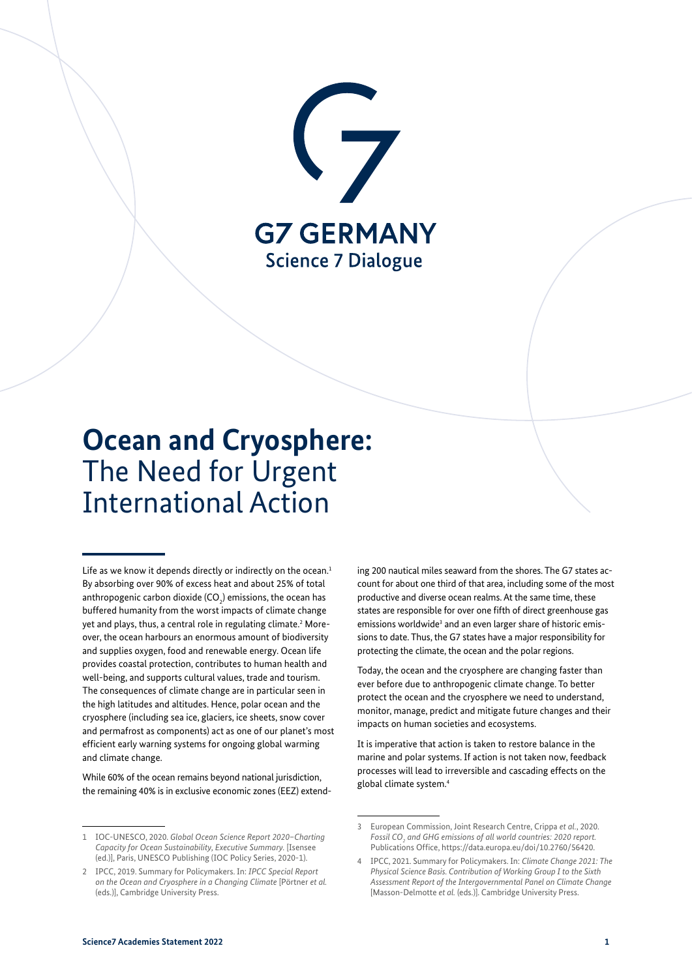

# **Ocean and Cryosphere:** The Need for Urgent International Action

Life as we know it depends directly or indirectly on the ocean.<sup>1</sup> By absorbing over 90% of excess heat and about 25% of total anthropogenic carbon dioxide (CO<sub>2</sub>) emissions, the ocean has buffered humanity from the worst impacts of climate change yet and plays, thus, a central role in regulating climate.<sup>2</sup> Moreover, the ocean harbours an enormous amount of biodiversity and supplies oxygen, food and renewable energy. Ocean life provides coastal protection, contributes to human health and well-being, and supports cultural values, trade and tourism. The consequences of climate change are in particular seen in the high latitudes and altitudes. Hence, polar ocean and the cryosphere (including sea ice, glaciers, ice sheets, snow cover and permafrost as components) act as one of our planet's most efficient early warning systems for ongoing global warming and climate change.

While 60% of the ocean remains beyond national jurisdiction, the remaining 40% is in exclusive economic zones (EEZ) extending 200 nautical miles seaward from the shores. The G7 states account for about one third of that area, including some of the most productive and diverse ocean realms. At the same time, these states are responsible for over one fifth of direct greenhouse gas emissions worldwide<sup>3</sup> and an even larger share of historic emissions to date. Thus, the G7 states have a major responsibility for protecting the climate, the ocean and the polar regions.

Today, the ocean and the cryosphere are changing faster than ever before due to anthropogenic climate change. To better protect the ocean and the cryosphere we need to understand, monitor, manage, predict and mitigate future changes and their impacts on human societies and ecosystems.

It is imperative that action is taken to restore balance in the marine and polar systems. If action is not taken now, feedback processes will lead to irreversible and cascading effects on the global climate system.4

<sup>1</sup> IOC-UNESCO, 2020. *Global Ocean Science Report 2020–Charting Capacity for Ocean Sustainability, Executive Summary.* [Isensee (ed.)], Paris, UNESCO Publishing (IOC Policy Series, 2020-1).

<sup>2</sup> IPCC, 2019. Summary for Policymakers. In: *IPCC Special Report on the Ocean and Cryosphere in a Changing Climate* [Pörtner *et al.* (eds.)], Cambridge University Press.

<sup>3</sup> European Commission, Joint Research Centre, Crippa *et al.*, 2020. *Fossil CO2 and GHG emissions of all world countries: 2020 report.* Publications Office,<https://data.europa.eu/doi/10.2760/56420>.

<sup>4</sup> IPCC, 2021. Summary for Policymakers. In: *Climate Change 2021: The Physical Science Basis. Contribution of Working Group I to the Sixth Assessment Report of the Intergovernmental Panel on Climate Change* [Masson-Delmotte *et al.* (eds.)]. Cambridge University Press.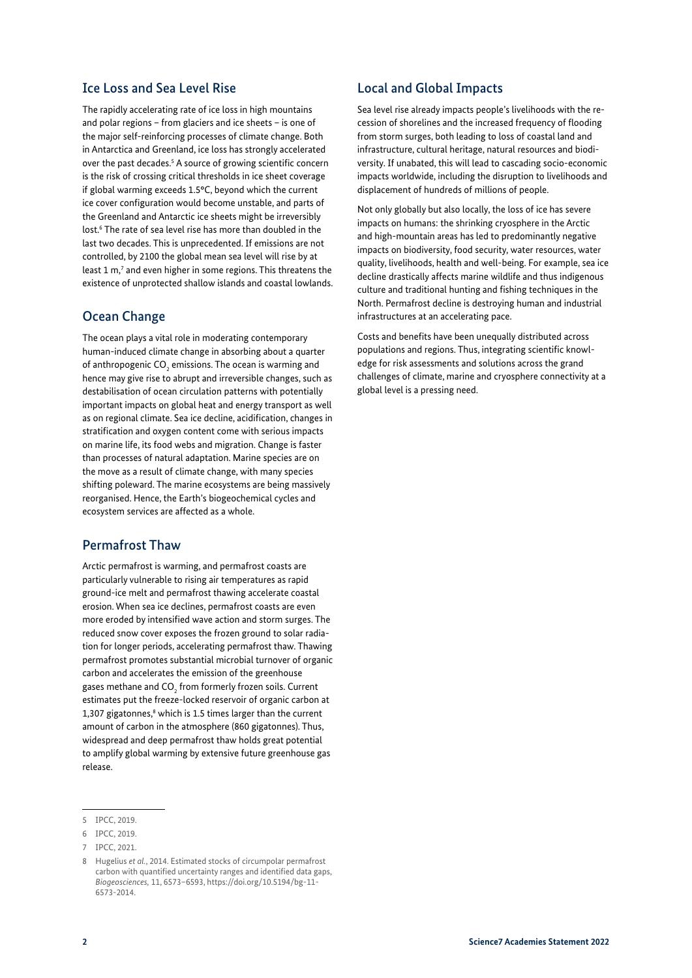#### Ice Loss and Sea Level Rise

The rapidly accelerating rate of ice loss in high mountains and polar regions – from glaciers and ice sheets – is one of the major self-reinforcing processes of climate change. Both in Antarctica and Greenland, ice loss has strongly accelerated over the past decades.<sup>5</sup> A source of growing scientific concern is the risk of crossing critical thresholds in ice sheet coverage if global warming exceeds 1.5°C, beyond which the current ice cover configuration would become unstable, and parts of the Greenland and Antarctic ice sheets might be irreversibly lost.<sup>6</sup> The rate of sea level rise has more than doubled in the last two decades. This is unprecedented. If emissions are not controlled, by 2100 the global mean sea level will rise by at least  $1 \text{ m}$ ,<sup>7</sup> and even higher in some regions. This threatens the existence of unprotected shallow islands and coastal lowlands.

## Ocean Change

The ocean plays a vital role in moderating contemporary human-induced climate change in absorbing about a quarter of anthropogenic  $\mathsf{CO}_2$  emissions. The ocean is warming and hence may give rise to abrupt and irreversible changes, such as destabilisation of ocean circulation patterns with potentially important impacts on global heat and energy transport as well as on regional climate. Sea ice decline, acidification, changes in stratification and oxygen content come with serious impacts on marine life, its food webs and migration. Change is faster than processes of natural adaptation. Marine species are on the move as a result of climate change, with many species shifting poleward. The marine ecosystems are being massively reorganised. Hence, the Earth's biogeochemical cycles and ecosystem services are affected as a whole.

#### Permafrost Thaw

Arctic permafrost is warming, and permafrost coasts are particularly vulnerable to rising air temperatures as rapid ground-ice melt and permafrost thawing accelerate coastal erosion. When sea ice declines, permafrost coasts are even more eroded by intensified wave action and storm surges. The reduced snow cover exposes the frozen ground to solar radiation for longer periods, accelerating permafrost thaw. Thawing permafrost promotes substantial microbial turnover of organic carbon and accelerates the emission of the greenhouse gases methane and CO $_{\textrm{\tiny{2}}}$  from formerly frozen soils. Current estimates put the freeze-locked reservoir of organic carbon at  $1,307$  gigatonnes, $8$  which is 1.5 times larger than the current amount of carbon in the atmosphere (860 gigatonnes). Thus, widespread and deep permafrost thaw holds great potential to amplify global warming by extensive future greenhouse gas release.

## Local and Global Impacts

Sea level rise already impacts people's livelihoods with the recession of shorelines and the increased frequency of flooding from storm surges, both leading to loss of coastal land and infrastructure, cultural heritage, natural resources and biodiversity. If unabated, this will lead to cascading socio-economic impacts worldwide, including the disruption to livelihoods and displacement of hundreds of millions of people.

Not only globally but also locally, the loss of ice has severe impacts on humans: the shrinking cryosphere in the Arctic and high-mountain areas has led to predominantly negative impacts on biodiversity, food security, water resources, water quality, livelihoods, health and well-being. For example, sea ice decline drastically affects marine wildlife and thus indigenous culture and traditional hunting and fishing techniques in the North. Permafrost decline is destroying human and industrial infrastructures at an accelerating pace.

Costs and benefits have been unequally distributed across populations and regions. Thus, integrating scientific knowledge for risk assessments and solutions across the grand challenges of climate, marine and cryosphere connectivity at a global level is a pressing need.

<sup>5</sup> IPCC, 2019.

<sup>6</sup> IPCC, 2019.

<sup>7</sup> IPCC, 2021.

<sup>8</sup> Hugelius *et al.*, 2014. Estimated stocks of circumpolar permafrost carbon with quantified uncertainty ranges and identified data gaps, *Biogeosciences,* 11, 6573–6593, [https://doi.org/10.5194/bg-11-](https://doi.org/10.5194/bg-11-6573-2014) [6573-2014](https://doi.org/10.5194/bg-11-6573-2014).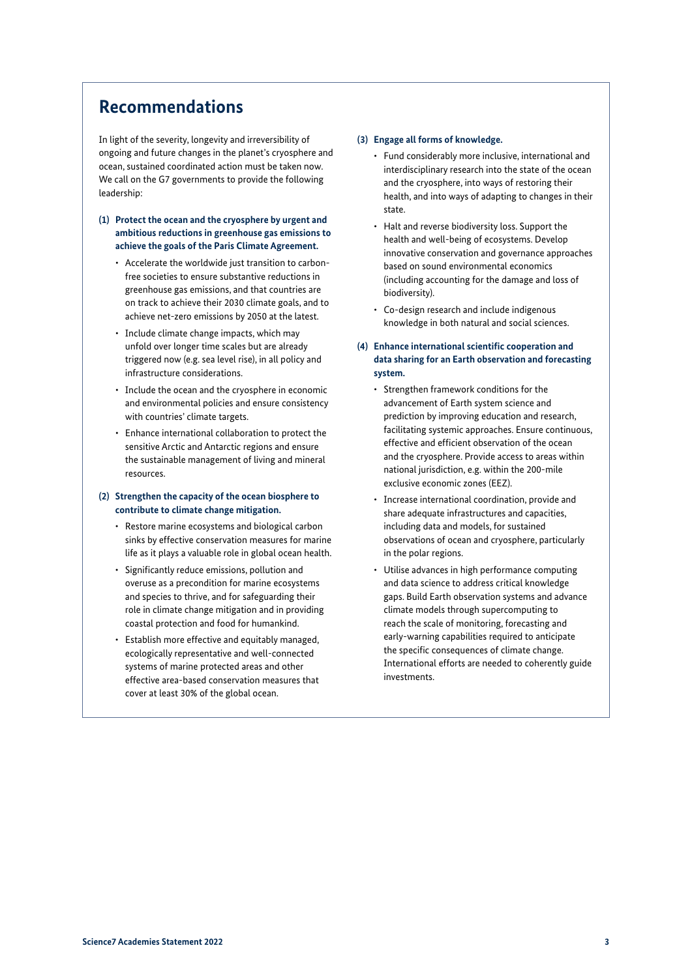## **Recommendations**

In light of the severity, longevity and irreversibility of ongoing and future changes in the planet's cryosphere and ocean, sustained coordinated action must be taken now. We call on the G7 governments to provide the following leadership:

- **(1) Protect the ocean and the cryosphere by urgent and ambitious reductions in greenhouse gas emissions to achieve the goals of the Paris Climate Agreement.**
	- Accelerate the worldwide just transition to carbonfree societies to ensure substantive reductions in greenhouse gas emissions, and that countries are on track to achieve their 2030 climate goals, and to achieve net-zero emissions by 2050 at the latest.
	- Include climate change impacts, which may unfold over longer time scales but are already triggered now (e.g. sea level rise), in all policy and infrastructure considerations.
	- Include the ocean and the cryosphere in economic and environmental policies and ensure consistency with countries' climate targets.
	- Enhance international collaboration to protect the sensitive Arctic and Antarctic regions and ensure the sustainable management of living and mineral resources.

#### **(2) Strengthen the capacity of the ocean biosphere to contribute to climate change mitigation.**

- Restore marine ecosystems and biological carbon sinks by effective conservation measures for marine life as it plays a valuable role in global ocean health.
- Significantly reduce emissions, pollution and overuse as a precondition for marine ecosystems and species to thrive, and for safeguarding their role in climate change mitigation and in providing coastal protection and food for humankind.
- Establish more effective and equitably managed, ecologically representative and well-connected systems of marine protected areas and other effective area-based conservation measures that cover at least 30% of the global ocean.

#### **(3) Engage all forms of knowledge.**

- Fund considerably more inclusive, international and interdisciplinary research into the state of the ocean and the cryosphere, into ways of restoring their health, and into ways of adapting to changes in their state.
- Halt and reverse biodiversity loss. Support the health and well-being of ecosystems. Develop innovative conservation and governance approaches based on sound environmental economics (including accounting for the damage and loss of biodiversity).
- Co-design research and include indigenous knowledge in both natural and social sciences.
- **(4) Enhance international scientific cooperation and data sharing for an Earth observation and forecasting system.**
	- Strengthen framework conditions for the advancement of Earth system science and prediction by improving education and research, facilitating systemic approaches. Ensure continuous, effective and efficient observation of the ocean and the cryosphere. Provide access to areas within national jurisdiction, e.g. within the 200-mile exclusive economic zones (EEZ).
	- Increase international coordination, provide and share adequate infrastructures and capacities, including data and models, for sustained observations of ocean and cryosphere, particularly in the polar regions.
	- Utilise advances in high performance computing and data science to address critical knowledge gaps. Build Earth observation systems and advance climate models through supercomputing to reach the scale of monitoring, forecasting and early-warning capabilities required to anticipate the specific consequences of climate change. International efforts are needed to coherently guide investments.